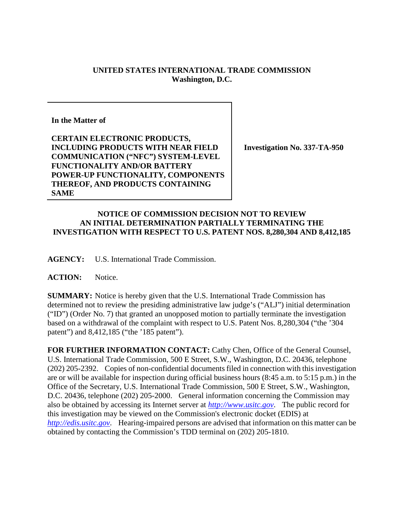## **UNITED STATES INTERNATIONAL TRADE COMMISSION Washington, D.C.**

**In the Matter of**

**CERTAIN ELECTRONIC PRODUCTS, INCLUDING PRODUCTS WITH NEAR FIELD COMMUNICATION ("NFC") SYSTEM-LEVEL FUNCTIONALITY AND/OR BATTERY POWER-UP FUNCTIONALITY, COMPONENTS THEREOF, AND PRODUCTS CONTAINING SAME**

**Investigation No. 337-TA-950**

## **NOTICE OF COMMISSION DECISION NOT TO REVIEW AN INITIAL DETERMINATION PARTIALLY TERMINATING THE INVESTIGATION WITH RESPECT TO U.S. PATENT NOS. 8,280,304 AND 8,412,185**

**AGENCY:** U.S. International Trade Commission.

**ACTION:** Notice.

**SUMMARY:** Notice is hereby given that the U.S. International Trade Commission has determined not to review the presiding administrative law judge's ("ALJ") initial determination ("ID") (Order No. 7) that granted an unopposed motion to partially terminate the investigation based on a withdrawal of the complaint with respect to U.S. Patent Nos. 8,280,304 ("the '304 patent") and 8,412,185 ("the '185 patent").

**FOR FURTHER INFORMATION CONTACT:** Cathy Chen, Office of the General Counsel, U.S. International Trade Commission, 500 E Street, S.W., Washington, D.C. 20436, telephone (202) 205-2392. Copies of non-confidential documents filed in connection with this investigation are or will be available for inspection during official business hours (8:45 a.m. to 5:15 p.m.) in the Office of the Secretary, U.S. International Trade Commission, 500 E Street, S.W., Washington, D.C. 20436, telephone (202) 205-2000. General information concerning the Commission may also be obtained by accessing its Internet server at *[http://www.usitc.gov](http://www.usitc.gov/)*. The public record for this investigation may be viewed on the Commission's electronic docket (EDIS) at *[http://edis.usitc.gov](http://edis.usitc.gov/)*. Hearing-impaired persons are advised that information on this matter can be obtained by contacting the Commission's TDD terminal on (202) 205-1810.